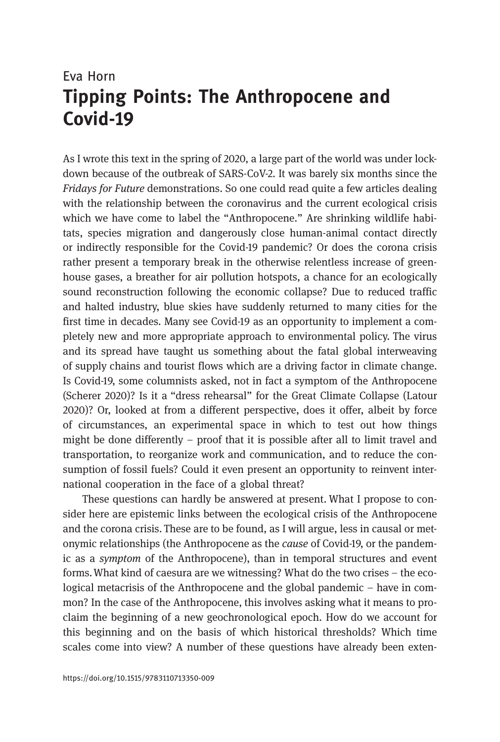# Eva Horn Tipping Points: The Anthropocene and Covid-19

As I wrote this text in the spring of 2020, a large part of the world was under lockdown because of the outbreak of SARS-CoV-2. It was barely six months since the Fridays for Future demonstrations. So one could read quite a few articles dealing with the relationship between the coronavirus and the current ecological crisis which we have come to label the "Anthropocene." Are shrinking wildlife habitats, species migration and dangerously close human-animal contact directly or indirectly responsible for the Covid-19 pandemic? Or does the corona crisis rather present a temporary break in the otherwise relentless increase of greenhouse gases, a breather for air pollution hotspots, a chance for an ecologically sound reconstruction following the economic collapse? Due to reduced traffic and halted industry, blue skies have suddenly returned to many cities for the first time in decades. Many see Covid-19 as an opportunity to implement a completely new and more appropriate approach to environmental policy. The virus and its spread have taught us something about the fatal global interweaving of supply chains and tourist flows which are a driving factor in climate change. Is Covid-19, some columnists asked, not in fact a symptom of the Anthropocene (Scherer 2020)? Is it a "dress rehearsal" for the Great Climate Collapse (Latour 2020)? Or, looked at from a different perspective, does it offer, albeit by force of circumstances, an experimental space in which to test out how things might be done differently – proof that it is possible after all to limit travel and transportation, to reorganize work and communication, and to reduce the consumption of fossil fuels? Could it even present an opportunity to reinvent international cooperation in the face of a global threat?

These questions can hardly be answered at present. What I propose to consider here are epistemic links between the ecological crisis of the Anthropocene and the corona crisis. These are to be found, as I will argue, less in causal or metonymic relationships (the Anthropocene as the cause of Covid-19, or the pandemic as a symptom of the Anthropocene), than in temporal structures and event forms.What kind of caesura are we witnessing? What do the two crises – the ecological metacrisis of the Anthropocene and the global pandemic – have in common? In the case of the Anthropocene, this involves asking what it means to proclaim the beginning of a new geochronological epoch. How do we account for this beginning and on the basis of which historical thresholds? Which time scales come into view? A number of these questions have already been exten-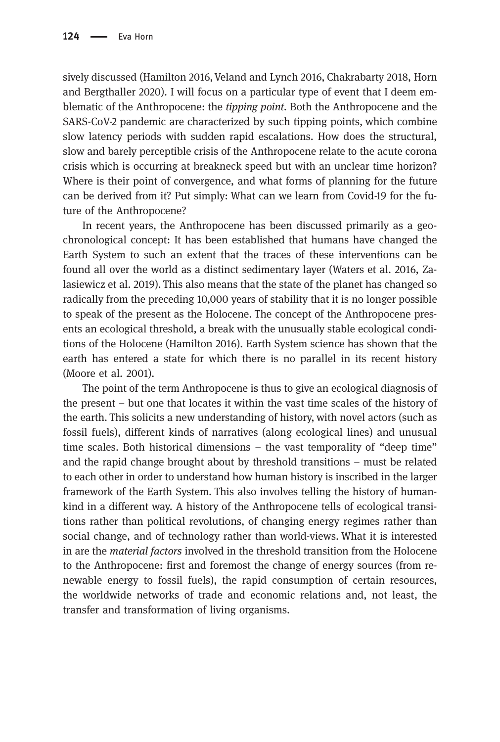sively discussed (Hamilton 2016, Veland and Lynch 2016, Chakrabarty 2018, Horn and Bergthaller 2020). I will focus on a particular type of event that I deem emblematic of the Anthropocene: the tipping point. Both the Anthropocene and the SARS-CoV-2 pandemic are characterized by such tipping points, which combine slow latency periods with sudden rapid escalations. How does the structural, slow and barely perceptible crisis of the Anthropocene relate to the acute corona crisis which is occurring at breakneck speed but with an unclear time horizon? Where is their point of convergence, and what forms of planning for the future can be derived from it? Put simply: What can we learn from Covid-19 for the future of the Anthropocene?

In recent years, the Anthropocene has been discussed primarily as a geochronological concept: It has been established that humans have changed the Earth System to such an extent that the traces of these interventions can be found all over the world as a distinct sedimentary layer (Waters et al. 2016, Zalasiewicz et al. 2019). This also means that the state of the planet has changed so radically from the preceding 10,000 years of stability that it is no longer possible to speak of the present as the Holocene. The concept of the Anthropocene presents an ecological threshold, a break with the unusually stable ecological conditions of the Holocene (Hamilton 2016). Earth System science has shown that the earth has entered a state for which there is no parallel in its recent history (Moore et al. 2001).

The point of the term Anthropocene is thus to give an ecological diagnosis of the present – but one that locates it within the vast time scales of the history of the earth. This solicits a new understanding of history, with novel actors (such as fossil fuels), different kinds of narratives (along ecological lines) and unusual time scales. Both historical dimensions – the vast temporality of "deep time" and the rapid change brought about by threshold transitions – must be related to each other in order to understand how human history is inscribed in the larger framework of the Earth System. This also involves telling the history of humankind in a different way. A history of the Anthropocene tells of ecological transitions rather than political revolutions, of changing energy regimes rather than social change, and of technology rather than world-views. What it is interested in are the material factors involved in the threshold transition from the Holocene to the Anthropocene: first and foremost the change of energy sources (from renewable energy to fossil fuels), the rapid consumption of certain resources, the worldwide networks of trade and economic relations and, not least, the transfer and transformation of living organisms.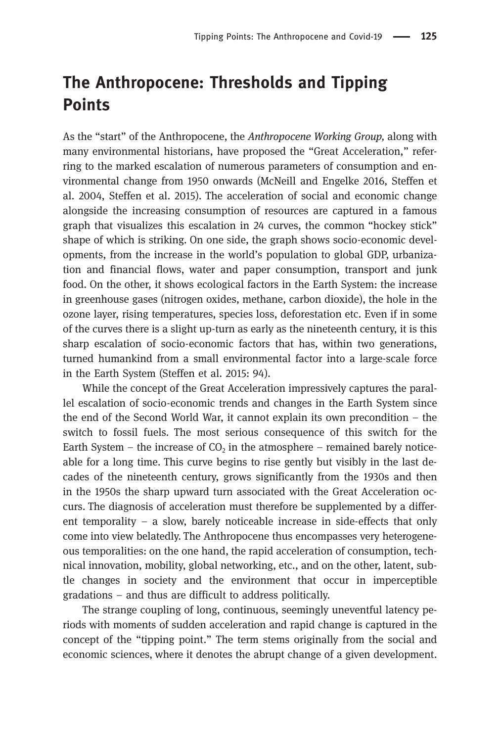# The Anthropocene: Thresholds and Tipping Points

As the "start" of the Anthropocene, the Anthropocene Working Group, along with many environmental historians, have proposed the "Great Acceleration," referring to the marked escalation of numerous parameters of consumption and environmental change from 1950 onwards (McNeill and Engelke 2016, Steffen et al. 2004, Steffen et al. 2015). The acceleration of social and economic change alongside the increasing consumption of resources are captured in a famous graph that visualizes this escalation in 24 curves, the common "hockey stick" shape of which is striking. On one side, the graph shows socio-economic developments, from the increase in the world's population to global GDP, urbanization and financial flows, water and paper consumption, transport and junk food. On the other, it shows ecological factors in the Earth System: the increase in greenhouse gases (nitrogen oxides, methane, carbon dioxide), the hole in the ozone layer, rising temperatures, species loss, deforestation etc. Even if in some of the curves there is a slight up-turn as early as the nineteenth century, it is this sharp escalation of socio-economic factors that has, within two generations, turned humankind from a small environmental factor into a large-scale force in the Earth System (Steffen et al. 2015: 94).

While the concept of the Great Acceleration impressively captures the parallel escalation of socio-economic trends and changes in the Earth System since the end of the Second World War, it cannot explain its own precondition – the switch to fossil fuels. The most serious consequence of this switch for the Earth System – the increase of  $CO<sub>2</sub>$  in the atmosphere – remained barely noticeable for a long time. This curve begins to rise gently but visibly in the last decades of the nineteenth century, grows significantly from the 1930s and then in the 1950s the sharp upward turn associated with the Great Acceleration occurs. The diagnosis of acceleration must therefore be supplemented by a different temporality – a slow, barely noticeable increase in side-effects that only come into view belatedly. The Anthropocene thus encompasses very heterogeneous temporalities: on the one hand, the rapid acceleration of consumption, technical innovation, mobility, global networking, etc., and on the other, latent, subtle changes in society and the environment that occur in imperceptible gradations – and thus are difficult to address politically.

The strange coupling of long, continuous, seemingly uneventful latency periods with moments of sudden acceleration and rapid change is captured in the concept of the "tipping point." The term stems originally from the social and economic sciences, where it denotes the abrupt change of a given development.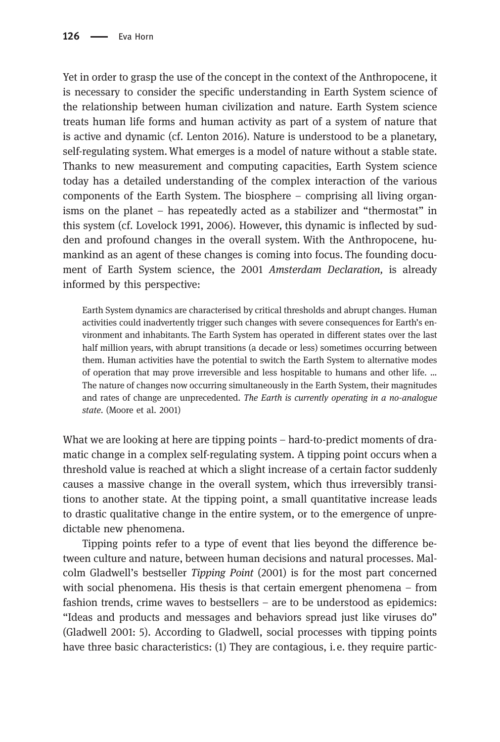Yet in order to grasp the use of the concept in the context of the Anthropocene, it is necessary to consider the specific understanding in Earth System science of the relationship between human civilization and nature. Earth System science treats human life forms and human activity as part of a system of nature that is active and dynamic (cf. Lenton 2016). Nature is understood to be a planetary, self-regulating system. What emerges is a model of nature without a stable state. Thanks to new measurement and computing capacities, Earth System science today has a detailed understanding of the complex interaction of the various components of the Earth System. The biosphere – comprising all living organisms on the planet – has repeatedly acted as a stabilizer and "thermostat" in this system (cf. Lovelock 1991, 2006). However, this dynamic is inflected by sudden and profound changes in the overall system. With the Anthropocene, humankind as an agent of these changes is coming into focus. The founding document of Earth System science, the 2001 Amsterdam Declaration, is already informed by this perspective:

Earth System dynamics are characterised by critical thresholds and abrupt changes. Human activities could inadvertently trigger such changes with severe consequences for Earth's environment and inhabitants. The Earth System has operated in different states over the last half million years, with abrupt transitions (a decade or less) sometimes occurring between them. Human activities have the potential to switch the Earth System to alternative modes of operation that may prove irreversible and less hospitable to humans and other life. … The nature of changes now occurring simultaneously in the Earth System, their magnitudes and rates of change are unprecedented. The Earth is currently operating in a no-analogue state. (Moore et al. 2001)

What we are looking at here are tipping points – hard-to-predict moments of dramatic change in a complex self-regulating system. A tipping point occurs when a threshold value is reached at which a slight increase of a certain factor suddenly causes a massive change in the overall system, which thus irreversibly transitions to another state. At the tipping point, a small quantitative increase leads to drastic qualitative change in the entire system, or to the emergence of unpredictable new phenomena.

Tipping points refer to a type of event that lies beyond the difference between culture and nature, between human decisions and natural processes. Malcolm Gladwell's bestseller Tipping Point (2001) is for the most part concerned with social phenomena. His thesis is that certain emergent phenomena – from fashion trends, crime waves to bestsellers – are to be understood as epidemics: "Ideas and products and messages and behaviors spread just like viruses do" (Gladwell 2001: 5). According to Gladwell, social processes with tipping points have three basic characteristics: (1) They are contagious, i.e. they require partic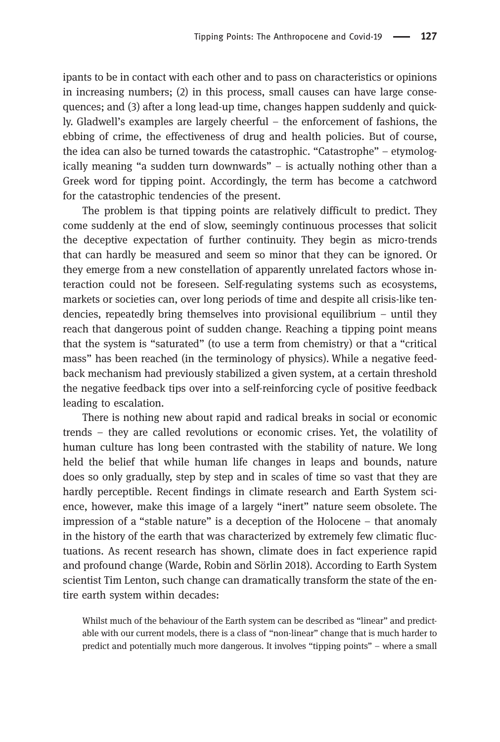ipants to be in contact with each other and to pass on characteristics or opinions in increasing numbers; (2) in this process, small causes can have large consequences; and (3) after a long lead-up time, changes happen suddenly and quickly. Gladwell's examples are largely cheerful – the enforcement of fashions, the ebbing of crime, the effectiveness of drug and health policies. But of course, the idea can also be turned towards the catastrophic. "Catastrophe" – etymologically meaning "a sudden turn downwards" – is actually nothing other than a Greek word for tipping point. Accordingly, the term has become a catchword for the catastrophic tendencies of the present.

The problem is that tipping points are relatively difficult to predict. They come suddenly at the end of slow, seemingly continuous processes that solicit the deceptive expectation of further continuity. They begin as micro-trends that can hardly be measured and seem so minor that they can be ignored. Or they emerge from a new constellation of apparently unrelated factors whose interaction could not be foreseen. Self-regulating systems such as ecosystems, markets or societies can, over long periods of time and despite all crisis-like tendencies, repeatedly bring themselves into provisional equilibrium – until they reach that dangerous point of sudden change. Reaching a tipping point means that the system is "saturated" (to use a term from chemistry) or that a "critical mass" has been reached (in the terminology of physics). While a negative feedback mechanism had previously stabilized a given system, at a certain threshold the negative feedback tips over into a self-reinforcing cycle of positive feedback leading to escalation.

There is nothing new about rapid and radical breaks in social or economic trends – they are called revolutions or economic crises. Yet, the volatility of human culture has long been contrasted with the stability of nature. We long held the belief that while human life changes in leaps and bounds, nature does so only gradually, step by step and in scales of time so vast that they are hardly perceptible. Recent findings in climate research and Earth System science, however, make this image of a largely "inert" nature seem obsolete. The impression of a "stable nature" is a deception of the Holocene – that anomaly in the history of the earth that was characterized by extremely few climatic fluctuations. As recent research has shown, climate does in fact experience rapid and profound change (Warde, Robin and Sörlin 2018). According to Earth System scientist Tim Lenton, such change can dramatically transform the state of the entire earth system within decades:

Whilst much of the behaviour of the Earth system can be described as "linear" and predictable with our current models, there is a class of "non-linear" change that is much harder to predict and potentially much more dangerous. It involves "tipping points" – where a small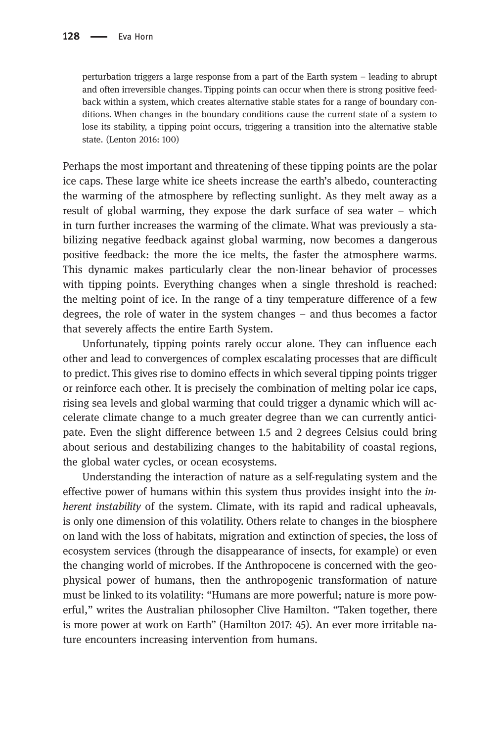perturbation triggers a large response from a part of the Earth system – leading to abrupt and often irreversible changes. Tipping points can occur when there is strong positive feedback within a system, which creates alternative stable states for a range of boundary conditions. When changes in the boundary conditions cause the current state of a system to lose its stability, a tipping point occurs, triggering a transition into the alternative stable state. (Lenton 2016: 100)

Perhaps the most important and threatening of these tipping points are the polar ice caps. These large white ice sheets increase the earth's albedo, counteracting the warming of the atmosphere by reflecting sunlight. As they melt away as a result of global warming, they expose the dark surface of sea water – which in turn further increases the warming of the climate. What was previously a stabilizing negative feedback against global warming, now becomes a dangerous positive feedback: the more the ice melts, the faster the atmosphere warms. This dynamic makes particularly clear the non-linear behavior of processes with tipping points. Everything changes when a single threshold is reached: the melting point of ice. In the range of a tiny temperature difference of a few degrees, the role of water in the system changes – and thus becomes a factor that severely affects the entire Earth System.

Unfortunately, tipping points rarely occur alone. They can influence each other and lead to convergences of complex escalating processes that are difficult to predict. This gives rise to domino effects in which several tipping points trigger or reinforce each other. It is precisely the combination of melting polar ice caps, rising sea levels and global warming that could trigger a dynamic which will accelerate climate change to a much greater degree than we can currently anticipate. Even the slight difference between 1.5 and 2 degrees Celsius could bring about serious and destabilizing changes to the habitability of coastal regions, the global water cycles, or ocean ecosystems.

Understanding the interaction of nature as a self-regulating system and the effective power of humans within this system thus provides insight into the inherent instability of the system. Climate, with its rapid and radical upheavals, is only one dimension of this volatility. Others relate to changes in the biosphere on land with the loss of habitats, migration and extinction of species, the loss of ecosystem services (through the disappearance of insects, for example) or even the changing world of microbes. If the Anthropocene is concerned with the geophysical power of humans, then the anthropogenic transformation of nature must be linked to its volatility: "Humans are more powerful; nature is more powerful," writes the Australian philosopher Clive Hamilton. "Taken together, there is more power at work on Earth" (Hamilton 2017: 45). An ever more irritable nature encounters increasing intervention from humans.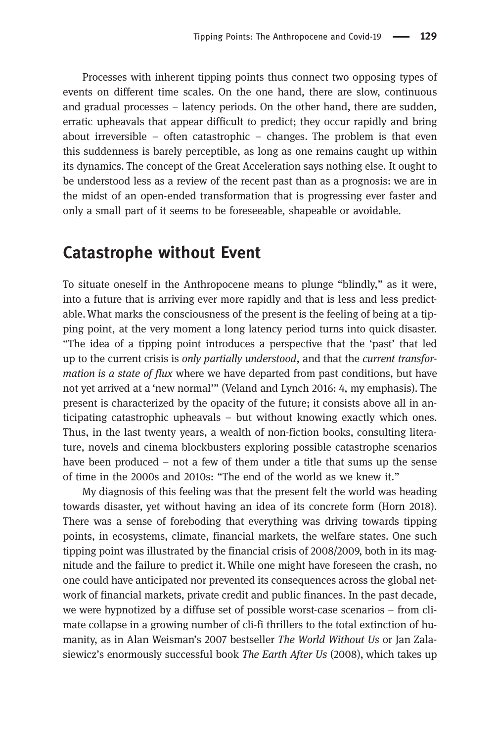Processes with inherent tipping points thus connect two opposing types of events on different time scales. On the one hand, there are slow, continuous and gradual processes – latency periods. On the other hand, there are sudden, erratic upheavals that appear difficult to predict; they occur rapidly and bring about irreversible – often catastrophic – changes. The problem is that even this suddenness is barely perceptible, as long as one remains caught up within its dynamics. The concept of the Great Acceleration says nothing else. It ought to be understood less as a review of the recent past than as a prognosis: we are in the midst of an open-ended transformation that is progressing ever faster and only a small part of it seems to be foreseeable, shapeable or avoidable.

#### Catastrophe without Event

To situate oneself in the Anthropocene means to plunge "blindly," as it were, into a future that is arriving ever more rapidly and that is less and less predictable.What marks the consciousness of the present is the feeling of being at a tipping point, at the very moment a long latency period turns into quick disaster. "The idea of a tipping point introduces a perspective that the 'past' that led up to the current crisis is only partially understood, and that the current transformation is a state of flux where we have departed from past conditions, but have not yet arrived at a 'new normal'" (Veland and Lynch 2016: 4, my emphasis). The present is characterized by the opacity of the future; it consists above all in anticipating catastrophic upheavals – but without knowing exactly which ones. Thus, in the last twenty years, a wealth of non-fiction books, consulting literature, novels and cinema blockbusters exploring possible catastrophe scenarios have been produced – not a few of them under a title that sums up the sense of time in the 2000s and 2010s: "The end of the world as we knew it."

My diagnosis of this feeling was that the present felt the world was heading towards disaster, yet without having an idea of its concrete form (Horn 2018). There was a sense of foreboding that everything was driving towards tipping points, in ecosystems, climate, financial markets, the welfare states. One such tipping point was illustrated by the financial crisis of 2008/2009, both in its magnitude and the failure to predict it. While one might have foreseen the crash, no one could have anticipated nor prevented its consequences across the global network of financial markets, private credit and public finances. In the past decade, we were hypnotized by a diffuse set of possible worst-case scenarios – from climate collapse in a growing number of cli-fi thrillers to the total extinction of humanity, as in Alan Weisman's 2007 bestseller The World Without Us or Jan Zalasiewicz's enormously successful book The Earth After Us (2008), which takes up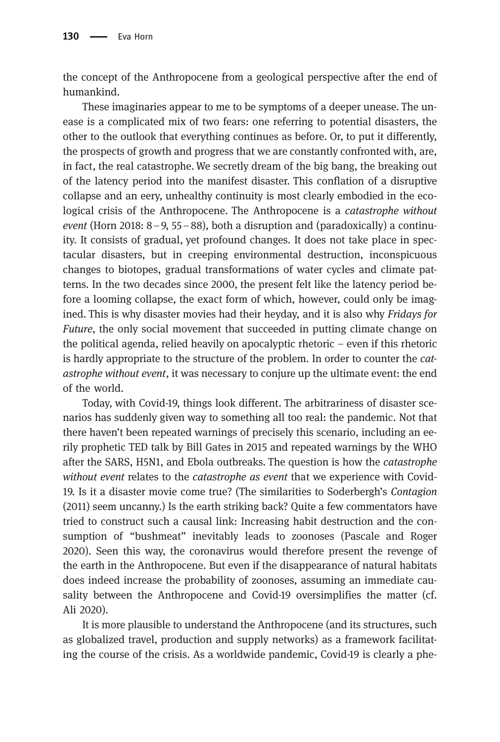the concept of the Anthropocene from a geological perspective after the end of humankind.

These imaginaries appear to me to be symptoms of a deeper unease. The unease is a complicated mix of two fears: one referring to potential disasters, the other to the outlook that everything continues as before. Or, to put it differently, the prospects of growth and progress that we are constantly confronted with, are, in fact, the real catastrophe. We secretly dream of the big bang, the breaking out of the latency period into the manifest disaster. This conflation of a disruptive collapse and an eery, unhealthy continuity is most clearly embodied in the ecological crisis of the Anthropocene. The Anthropocene is a catastrophe without event (Horn 2018:  $8-9$ , 55–88), both a disruption and (paradoxically) a continuity. It consists of gradual, yet profound changes. It does not take place in spectacular disasters, but in creeping environmental destruction, inconspicuous changes to biotopes, gradual transformations of water cycles and climate patterns. In the two decades since 2000, the present felt like the latency period before a looming collapse, the exact form of which, however, could only be imagined. This is why disaster movies had their heyday, and it is also why Fridays for Future, the only social movement that succeeded in putting climate change on the political agenda, relied heavily on apocalyptic rhetoric – even if this rhetoric is hardly appropriate to the structure of the problem. In order to counter the catastrophe without event, it was necessary to conjure up the ultimate event: the end of the world.

Today, with Covid-19, things look different. The arbitrariness of disaster scenarios has suddenly given way to something all too real: the pandemic. Not that there haven't been repeated warnings of precisely this scenario, including an eerily prophetic TED talk by Bill Gates in 2015 and repeated warnings by the WHO after the SARS, H5N1, and Ebola outbreaks. The question is how the catastrophe without event relates to the *catastrophe as event* that we experience with Covid-19. Is it a disaster movie come true? (The similarities to Soderbergh's Contagion (2011) seem uncanny.) Is the earth striking back? Quite a few commentators have tried to construct such a causal link: Increasing habit destruction and the consumption of "bushmeat" inevitably leads to zoonoses (Pascale and Roger 2020). Seen this way, the coronavirus would therefore present the revenge of the earth in the Anthropocene. But even if the disappearance of natural habitats does indeed increase the probability of zoonoses, assuming an immediate causality between the Anthropocene and Covid-19 oversimplifies the matter (cf. Ali 2020).

It is more plausible to understand the Anthropocene (and its structures, such as globalized travel, production and supply networks) as a framework facilitating the course of the crisis. As a worldwide pandemic, Covid-19 is clearly a phe-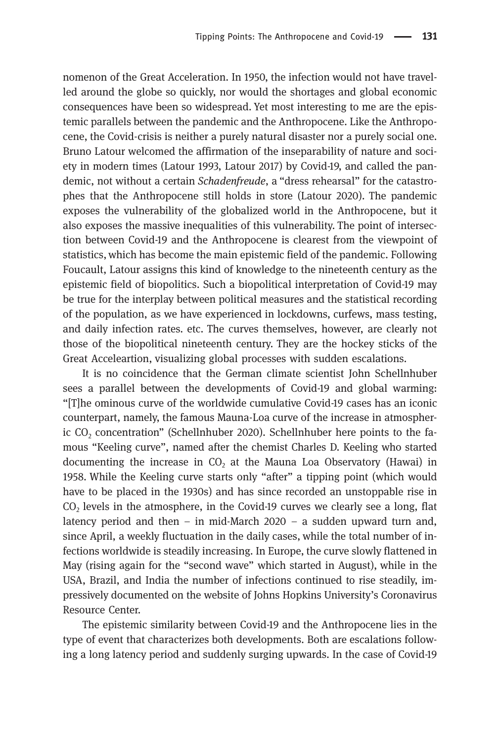nomenon of the Great Acceleration. In 1950, the infection would not have travelled around the globe so quickly, nor would the shortages and global economic consequences have been so widespread. Yet most interesting to me are the epistemic parallels between the pandemic and the Anthropocene. Like the Anthropocene, the Covid-crisis is neither a purely natural disaster nor a purely social one. Bruno Latour welcomed the affirmation of the inseparability of nature and society in modern times (Latour 1993, Latour 2017) by Covid-19, and called the pandemic, not without a certain Schadenfreude, a "dress rehearsal" for the catastrophes that the Anthropocene still holds in store (Latour 2020). The pandemic exposes the vulnerability of the globalized world in the Anthropocene, but it also exposes the massive inequalities of this vulnerability. The point of intersection between Covid-19 and the Anthropocene is clearest from the viewpoint of statistics, which has become the main epistemic field of the pandemic. Following Foucault, Latour assigns this kind of knowledge to the nineteenth century as the epistemic field of biopolitics. Such a biopolitical interpretation of Covid-19 may be true for the interplay between political measures and the statistical recording of the population, as we have experienced in lockdowns, curfews, mass testing, and daily infection rates. etc. The curves themselves, however, are clearly not those of the biopolitical nineteenth century. They are the hockey sticks of the Great Acceleartion, visualizing global processes with sudden escalations.

It is no coincidence that the German climate scientist John Schellnhuber sees a parallel between the developments of Covid-19 and global warming: "[T]he ominous curve of the worldwide cumulative Covid-19 cases has an iconic counterpart, namely, the famous Mauna-Loa curve of the increase in atmospheric CO<sub>2</sub> concentration" (Schellnhuber 2020). Schellnhuber here points to the famous "Keeling curve", named after the chemist Charles D. Keeling who started documenting the increase in  $CO<sub>2</sub>$  at the Mauna Loa Observatory (Hawai) in 1958. While the Keeling curve starts only "after" a tipping point (which would have to be placed in the 1930s) and has since recorded an unstoppable rise in  $CO<sub>2</sub>$  levels in the atmosphere, in the Covid-19 curves we clearly see a long, flat latency period and then – in mid-March 2020 – a sudden upward turn and, since April, a weekly fluctuation in the daily cases, while the total number of infections worldwide is steadily increasing. In Europe, the curve slowly flattened in May (rising again for the "second wave" which started in August), while in the USA, Brazil, and India the number of infections continued to rise steadily, impressively documented on the website of Johns Hopkins University's Coronavirus Resource Center.

The epistemic similarity between Covid-19 and the Anthropocene lies in the type of event that characterizes both developments. Both are escalations following a long latency period and suddenly surging upwards. In the case of Covid-19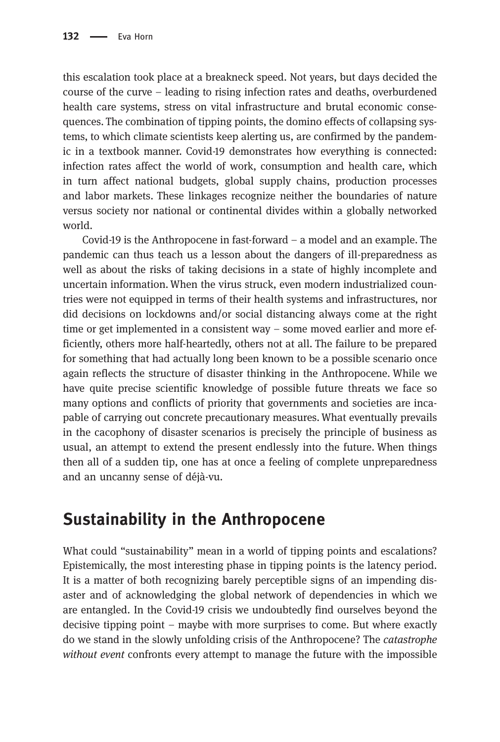this escalation took place at a breakneck speed. Not years, but days decided the course of the curve – leading to rising infection rates and deaths, overburdened health care systems, stress on vital infrastructure and brutal economic consequences. The combination of tipping points, the domino effects of collapsing systems, to which climate scientists keep alerting us, are confirmed by the pandemic in a textbook manner. Covid-19 demonstrates how everything is connected: infection rates affect the world of work, consumption and health care, which in turn affect national budgets, global supply chains, production processes and labor markets. These linkages recognize neither the boundaries of nature versus society nor national or continental divides within a globally networked world.

Covid-19 is the Anthropocene in fast-forward – a model and an example. The pandemic can thus teach us a lesson about the dangers of ill-preparedness as well as about the risks of taking decisions in a state of highly incomplete and uncertain information. When the virus struck, even modern industrialized countries were not equipped in terms of their health systems and infrastructures, nor did decisions on lockdowns and/or social distancing always come at the right time or get implemented in a consistent way – some moved earlier and more efficiently, others more half-heartedly, others not at all. The failure to be prepared for something that had actually long been known to be a possible scenario once again reflects the structure of disaster thinking in the Anthropocene. While we have quite precise scientific knowledge of possible future threats we face so many options and conflicts of priority that governments and societies are incapable of carrying out concrete precautionary measures. What eventually prevails in the cacophony of disaster scenarios is precisely the principle of business as usual, an attempt to extend the present endlessly into the future. When things then all of a sudden tip, one has at once a feeling of complete unpreparedness and an uncanny sense of déjà-vu.

## Sustainability in the Anthropocene

What could "sustainability" mean in a world of tipping points and escalations? Epistemically, the most interesting phase in tipping points is the latency period. It is a matter of both recognizing barely perceptible signs of an impending disaster and of acknowledging the global network of dependencies in which we are entangled. In the Covid-19 crisis we undoubtedly find ourselves beyond the decisive tipping point – maybe with more surprises to come. But where exactly do we stand in the slowly unfolding crisis of the Anthropocene? The catastrophe without event confronts every attempt to manage the future with the impossible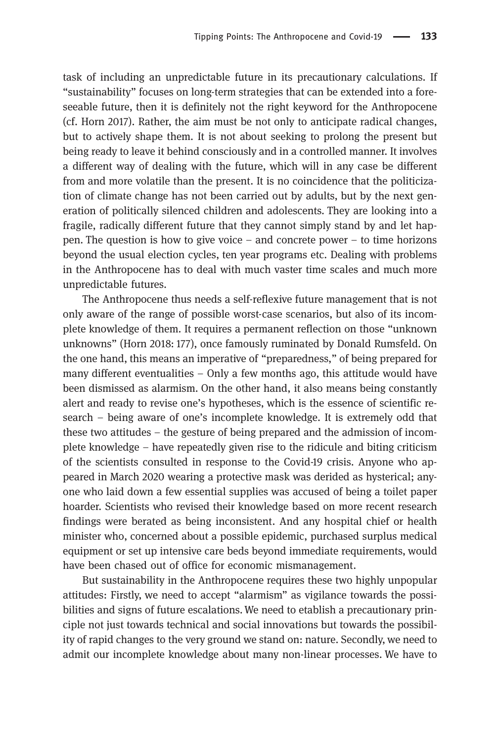task of including an unpredictable future in its precautionary calculations. If "sustainability" focuses on long-term strategies that can be extended into a foreseeable future, then it is definitely not the right keyword for the Anthropocene (cf. Horn 2017). Rather, the aim must be not only to anticipate radical changes, but to actively shape them. It is not about seeking to prolong the present but being ready to leave it behind consciously and in a controlled manner. It involves a different way of dealing with the future, which will in any case be different from and more volatile than the present. It is no coincidence that the politicization of climate change has not been carried out by adults, but by the next generation of politically silenced children and adolescents. They are looking into a fragile, radically different future that they cannot simply stand by and let happen. The question is how to give voice – and concrete power – to time horizons beyond the usual election cycles, ten year programs etc. Dealing with problems in the Anthropocene has to deal with much vaster time scales and much more unpredictable futures.

The Anthropocene thus needs a self-reflexive future management that is not only aware of the range of possible worst-case scenarios, but also of its incomplete knowledge of them. It requires a permanent reflection on those "unknown unknowns" (Horn 2018: 177), once famously ruminated by Donald Rumsfeld. On the one hand, this means an imperative of "preparedness," of being prepared for many different eventualities – Only a few months ago, this attitude would have been dismissed as alarmism. On the other hand, it also means being constantly alert and ready to revise one's hypotheses, which is the essence of scientific research – being aware of one's incomplete knowledge. It is extremely odd that these two attitudes – the gesture of being prepared and the admission of incomplete knowledge – have repeatedly given rise to the ridicule and biting criticism of the scientists consulted in response to the Covid-19 crisis. Anyone who appeared in March 2020 wearing a protective mask was derided as hysterical; anyone who laid down a few essential supplies was accused of being a toilet paper hoarder. Scientists who revised their knowledge based on more recent research findings were berated as being inconsistent. And any hospital chief or health minister who, concerned about a possible epidemic, purchased surplus medical equipment or set up intensive care beds beyond immediate requirements, would have been chased out of office for economic mismanagement.

But sustainability in the Anthropocene requires these two highly unpopular attitudes: Firstly, we need to accept "alarmism" as vigilance towards the possibilities and signs of future escalations. We need to etablish a precautionary principle not just towards technical and social innovations but towards the possibility of rapid changes to the very ground we stand on: nature. Secondly, we need to admit our incomplete knowledge about many non-linear processes. We have to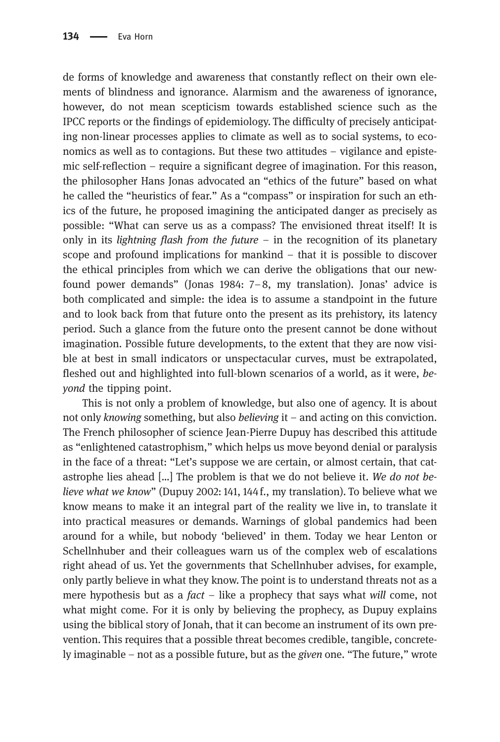de forms of knowledge and awareness that constantly reflect on their own elements of blindness and ignorance. Alarmism and the awareness of ignorance, however, do not mean scepticism towards established science such as the IPCC reports or the findings of epidemiology. The difficulty of precisely anticipating non-linear processes applies to climate as well as to social systems, to economics as well as to contagions. But these two attitudes – vigilance and epistemic self-reflection – require a significant degree of imagination. For this reason, the philosopher Hans Jonas advocated an "ethics of the future" based on what he called the "heuristics of fear." As a "compass" or inspiration for such an ethics of the future, he proposed imagining the anticipated danger as precisely as possible: "What can serve us as a compass? The envisioned threat itself! It is only in its *lightning flash from the future –* in the recognition of its planetary scope and profound implications for mankind – that it is possible to discover the ethical principles from which we can derive the obligations that our newfound power demands" (Jonas 1984: 7–8, my translation). Jonas' advice is both complicated and simple: the idea is to assume a standpoint in the future and to look back from that future onto the present as its prehistory, its latency period. Such a glance from the future onto the present cannot be done without imagination. Possible future developments, to the extent that they are now visible at best in small indicators or unspectacular curves, must be extrapolated, fleshed out and highlighted into full-blown scenarios of a world, as it were, beyond the tipping point.

This is not only a problem of knowledge, but also one of agency. It is about not only knowing something, but also believing it – and acting on this conviction. The French philosopher of science Jean-Pierre Dupuy has described this attitude as "enlightened catastrophism," which helps us move beyond denial or paralysis in the face of a threat: "Let's suppose we are certain, or almost certain, that catastrophe lies ahead [...] The problem is that we do not believe it. We do not believe what we know" (Dupuy 2002: 141, 144 f., my translation). To believe what we know means to make it an integral part of the reality we live in, to translate it into practical measures or demands. Warnings of global pandemics had been around for a while, but nobody 'believed' in them. Today we hear Lenton or Schellnhuber and their colleagues warn us of the complex web of escalations right ahead of us. Yet the governments that Schellnhuber advises, for example, only partly believe in what they know. The point is to understand threats not as a mere hypothesis but as a  $fact$  – like a prophecy that says what will come, not what might come. For it is only by believing the prophecy, as Dupuy explains using the biblical story of Jonah, that it can become an instrument of its own prevention. This requires that a possible threat becomes credible, tangible, concretely imaginable – not as a possible future, but as the given one. "The future," wrote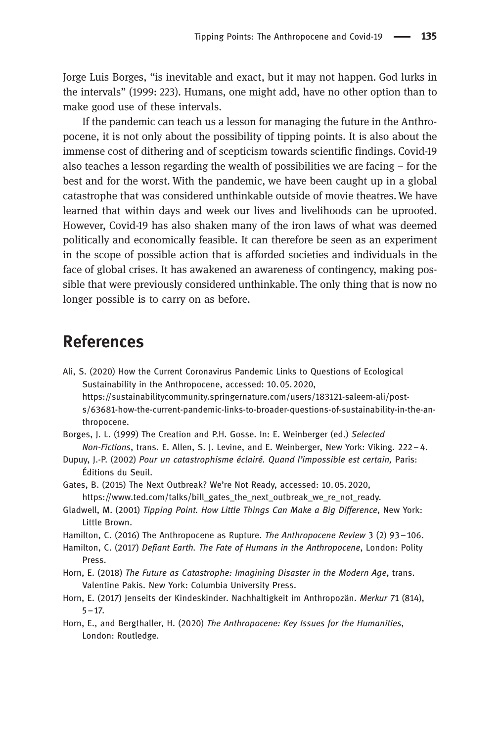Jorge Luis Borges, "is inevitable and exact, but it may not happen. God lurks in the intervals" (1999: 223). Humans, one might add, have no other option than to make good use of these intervals.

If the pandemic can teach us a lesson for managing the future in the Anthropocene, it is not only about the possibility of tipping points. It is also about the immense cost of dithering and of scepticism towards scientific findings. Covid-19 also teaches a lesson regarding the wealth of possibilities we are facing – for the best and for the worst. With the pandemic, we have been caught up in a global catastrophe that was considered unthinkable outside of movie theatres. We have learned that within days and week our lives and livelihoods can be uprooted. However, Covid-19 has also shaken many of the iron laws of what was deemed politically and economically feasible. It can therefore be seen as an experiment in the scope of possible action that is afforded societies and individuals in the face of global crises. It has awakened an awareness of contingency, making possible that were previously considered unthinkable. The only thing that is now no longer possible is to carry on as before.

### References

- Ali, S. (2020) How the Current Coronavirus Pandemic Links to Questions of Ecological Sustainability in the Anthropocene, accessed: 10.05. 2020, https://sustainabilitycommunity.springernature.com/users/183121-saleem-ali/posts/63681-how-the-current-pandemic-links-to-broader-questions-of-sustainability-in-the-anthropocene.
- Borges, J. L. (1999) The Creation and P.H. Gosse. In: E. Weinberger (ed.) Selected Non-Fictions, trans. E. Allen, S. J. Levine, and E. Weinberger, New York: Viking. 222–4.
- Dupuy, J.-P. (2002) Pour un catastrophisme éclairé. Quand l'impossible est certain, Paris: Éditions du Seuil.
- Gates, B. (2015) The Next Outbreak? We're Not Ready, accessed: 10.05. 2020, https://www.ted.com/talks/bill\_gates\_the\_next\_outbreak\_we\_re\_not\_ready.
- Gladwell, M. (2001) Tipping Point. How Little Things Can Make a Big Difference, New York: Little Brown.
- Hamilton, C. (2016) The Anthropocene as Rupture. The Anthropocene Review 3 (2) 93–106.
- Hamilton, C. (2017) Defiant Earth. The Fate of Humans in the Anthropocene, London: Polity Press.
- Horn, E. (2018) The Future as Catastrophe: Imagining Disaster in the Modern Age, trans. Valentine Pakis. New York: Columbia University Press.
- Horn, E. (2017) Jenseits der Kindeskinder. Nachhaltigkeit im Anthropozän. Merkur 71 (814), 5–17.
- Horn, E., and Bergthaller, H. (2020) The Anthropocene: Key Issues for the Humanities, London: Routledge.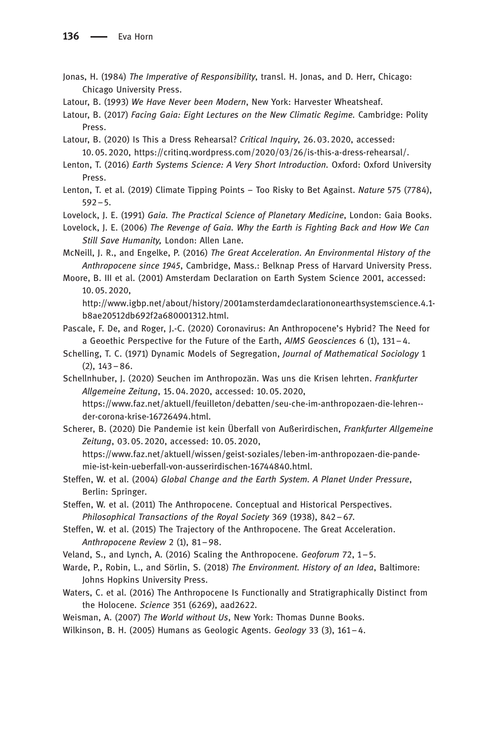- Jonas, H. (1984) The Imperative of Responsibility, transl. H. Jonas, and D. Herr, Chicago: Chicago University Press.
- Latour, B. (1993) We Have Never been Modern, New York: Harvester Wheatsheaf.

Latour, B. (2017) Facing Gaia: Eight Lectures on the New Climatic Regime. Cambridge: Polity Press.

- Latour, B. (2020) Is This a Dress Rehearsal? Critical Inquiry, 26. 03. 2020, accessed: 10. 05. 2020, https://critinq.wordpress.com/2020/03/26/is-this-a-dress-rehearsal/.
- Lenton, T. (2016) Earth Systems Science: A Very Short Introduction. Oxford: Oxford University Press.
- Lenton, T. et al. (2019) Climate Tipping Points Too Risky to Bet Against. Nature 575 (7784), 592–5.

Lovelock, J. E. (1991) Gaia. The Practical Science of Planetary Medicine, London: Gaia Books.

- Lovelock, J. E. (2006) The Revenge of Gaia. Why the Earth is Fighting Back and How We Can Still Save Humanity, London: Allen Lane.
- McNeill, J. R., and Engelke, P. (2016) The Great Acceleration. An Environmental History of the Anthropocene since 1945, Cambridge, Mass.: Belknap Press of Harvard University Press.
- Moore, B. III et al. (2001) Amsterdam Declaration on Earth System Science 2001, accessed: 10. 05. 2020,

http://www.igbp.net/about/history/2001amsterdamdeclarationonearthsystemscience.4.1 b8ae20512db692f2a680001312.html.

- Pascale, F. De, and Roger, J.-C. (2020) Coronavirus: An Anthropocene's Hybrid? The Need for a Geoethic Perspective for the Future of the Earth, AIMS Geosciences 6 (1), 131–4.
- Schelling, T. C. (1971) Dynamic Models of Segregation, Journal of Mathematical Sociology 1  $(2)$ , 143 – 86.
- Schellnhuber, J. (2020) Seuchen im Anthropozän. Was uns die Krisen lehrten. Frankfurter Allgemeine Zeitung, 15. 04. 2020, accessed: 10. 05. 2020, https://www.faz.net/aktuell/feuilleton/debatten/seu-che-im-anthropozaen-die-lehren--

der-corona-krise-16726494.html.

Scherer, B. (2020) Die Pandemie ist kein Überfall von Außerirdischen, Frankfurter Allgemeine Zeitung, 03. 05. 2020, accessed: 10.05. 2020,

https://www.faz.net/aktuell/wissen/geist-soziales/leben-im-anthropozaen-die-pandemie-ist-kein-ueberfall-von-ausserirdischen-16744840.html.

Steffen, W. et al. (2004) Global Change and the Earth System. A Planet Under Pressure, Berlin: Springer.

- Steffen, W. et al. (2011) The Anthropocene. Conceptual and Historical Perspectives. Philosophical Transactions of the Royal Society 369 (1938), 842–67.
- Steffen, W. et al. (2015) The Trajectory of the Anthropocene. The Great Acceleration. Anthropocene Review 2 (1), 81–98.
- Veland, S., and Lynch, A. (2016) Scaling the Anthropocene. Geoforum 72, 1–5.
- Warde, P., Robin, L., and Sörlin, S. (2018) The Environment. History of an Idea, Baltimore: Johns Hopkins University Press.
- Waters, C. et al. (2016) The Anthropocene Is Functionally and Stratigraphically Distinct from the Holocene. Science 351 (6269), aad2622.
- Weisman, A. (2007) The World without Us, New York: Thomas Dunne Books.
- Wilkinson, B. H. (2005) Humans as Geologic Agents. Geology 33 (3), 161–4.